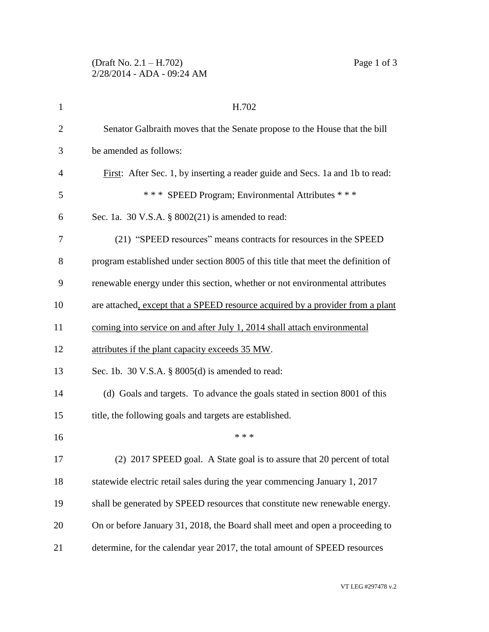| $\mathbf{1}$   | H.702                                                                            |
|----------------|----------------------------------------------------------------------------------|
| $\overline{2}$ | Senator Galbraith moves that the Senate propose to the House that the bill       |
| 3              | be amended as follows:                                                           |
| $\overline{4}$ | First: After Sec. 1, by inserting a reader guide and Secs. 1a and 1b to read:    |
| 5              | *** SPEED Program; Environmental Attributes ***                                  |
| 6              | Sec. 1a. 30 V.S.A. $\S$ 8002(21) is amended to read:                             |
| 7              | (21) "SPEED resources" means contracts for resources in the SPEED                |
| 8              | program established under section 8005 of this title that meet the definition of |
| 9              | renewable energy under this section, whether or not environmental attributes     |
| 10             | are attached, except that a SPEED resource acquired by a provider from a plant   |
| 11             | coming into service on and after July 1, 2014 shall attach environmental         |
| 12             | attributes if the plant capacity exceeds 35 MW.                                  |
| 13             | Sec. 1b. 30 V.S.A. § 8005(d) is amended to read:                                 |
| 14             | (d) Goals and targets. To advance the goals stated in section 8001 of this       |
| 15             | title, the following goals and targets are established.                          |
| 16             | * * *                                                                            |
| 17             | (2) 2017 SPEED goal. A State goal is to assure that 20 percent of total          |
| 18             | statewide electric retail sales during the year commencing January 1, 2017       |
| 19             | shall be generated by SPEED resources that constitute new renewable energy.      |
| 20             | On or before January 31, 2018, the Board shall meet and open a proceeding to     |
| 21             | determine, for the calendar year 2017, the total amount of SPEED resources       |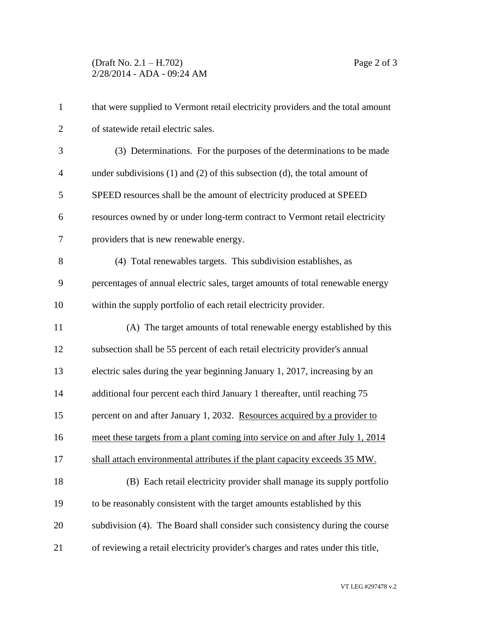| $\mathbf{1}$   | that were supplied to Vermont retail electricity providers and the total amount   |
|----------------|-----------------------------------------------------------------------------------|
| $\overline{2}$ | of statewide retail electric sales.                                               |
| 3              | (3) Determinations. For the purposes of the determinations to be made             |
| $\overline{4}$ | under subdivisions $(1)$ and $(2)$ of this subsection $(d)$ , the total amount of |
| 5              | SPEED resources shall be the amount of electricity produced at SPEED              |
| 6              | resources owned by or under long-term contract to Vermont retail electricity      |
| 7              | providers that is new renewable energy.                                           |
| 8              | (4) Total renewables targets. This subdivision establishes, as                    |
| 9              | percentages of annual electric sales, target amounts of total renewable energy    |
| 10             | within the supply portfolio of each retail electricity provider.                  |
| 11             | (A) The target amounts of total renewable energy established by this              |
| 12             | subsection shall be 55 percent of each retail electricity provider's annual       |
| 13             | electric sales during the year beginning January 1, 2017, increasing by an        |
| 14             | additional four percent each third January 1 thereafter, until reaching 75        |
| 15             | percent on and after January 1, 2032. Resources acquired by a provider to         |
| 16             | meet these targets from a plant coming into service on and after July 1, 2014     |
| 17             | shall attach environmental attributes if the plant capacity exceeds 35 MW.        |
| 18             | (B) Each retail electricity provider shall manage its supply portfolio            |
| 19             | to be reasonably consistent with the target amounts established by this           |
| 20             | subdivision (4). The Board shall consider such consistency during the course      |
| 21             | of reviewing a retail electricity provider's charges and rates under this title,  |